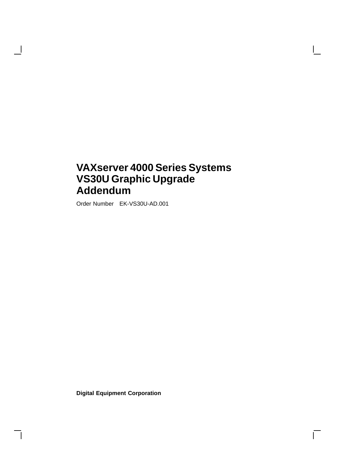# **VAXserver 4000 Series Systems VS30U Graphic Upgrade Addendum**

Order Number EK-VS30U-AD.001

**Digital Equipment Corporation**

 $\Box$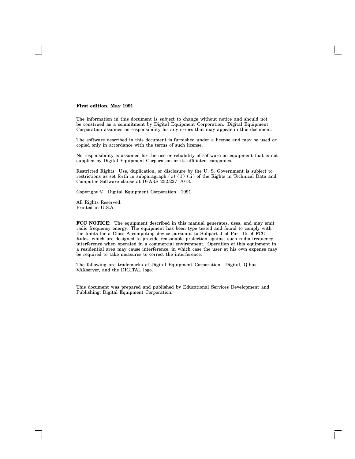#### **First edition, May 1991**

The information in this document is subject to change without notice and should not be construed as a commitment by Digital Equipment Corporation. Digital Equipment Corporation assumes no responsibility for any errors that may appear in this document.

The software described in this document is furnished under a license and may be used or copied only in accordance with the terms of such license.

No responsibility is assumed for the use or reliability of software on equipment that is not supplied by Digital Equipment Corporation or its affiliated companies.

Restricted Rights: Use, duplication, or disclosure by the U. S. Government is subject to restrictions as set forth in subparagraph (c) (1) (ii) of the Rights in Technical Data and Computer Software clause at DFARS 252.227–7013.

Copyright © Digital Equipment Corporation 1991

All Rights Reserved. Printed in U.S.A.

**FCC NOTICE:** The equipment described in this manual generates, uses, and may emit radio frequency energy. The equipment has been type tested and found to comply with the limits for a Class A computing device pursuant to Subpart J of Part 15 of FCC Rules, which are designed to provide reasonable protection against such radio frequency interference when operated in a commercial environment. Operation of this equipment in a residential area may cause interference, in which case the user at his own expense may be required to take measures to correct the interference.

The following are trademarks of Digital Equipment Corporation: Digital, Q-bus, VAXserver, and the DIGITAL logo.

This document was prepared and published by Educational Services Development and Publishing, Digital Equipment Corporation.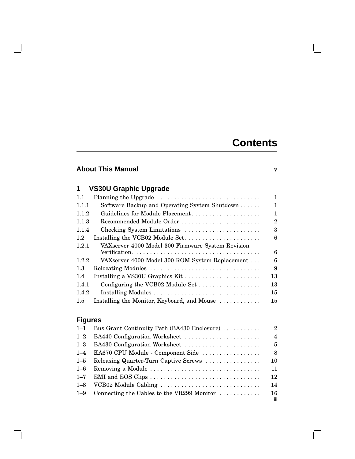# **Contents**

 $\mathbf{I}$ 

 $\Box$ 

## **About This Manual** v

 $\mathcal{L}$ 

# **1 VS30U Graphic Upgrade**

| 1.1     | Planning the Upgrade                              | 1  |
|---------|---------------------------------------------------|----|
| 1.1.1   | Software Backup and Operating System Shutdown     | 1  |
| 1.1.2   | Guidelines for Module Placement                   | 1  |
| 1.1.3   | Recommended Module Order                          | 2  |
| 1.1.4   | Checking System Limitations                       | 3  |
| $1.2\,$ | Installing the VCB02 Module Set                   | 6  |
| 1.2.1   | VAXserver 4000 Model 300 Firmware System Revision |    |
|         |                                                   | 6  |
| 1.2.2   | VAXserver 4000 Model 300 ROM System Replacement   | 6  |
| $1.3\,$ | Relocating Modules                                | 9  |
| 1.4     | Installing a VS30U Graphics Kit                   | 13 |
| 1.4.1   | Configuring the VCB02 Module Set                  | 13 |
| 1.4.2   |                                                   | 15 |
| 1.5     | Installing the Monitor, Keyboard, and Mouse       | 15 |
|         |                                                   |    |

# **Figures**

| $1 - 1$ | Bus Grant Continuity Path (BA430 Enclosure)                                           | $\overline{2}$ |
|---------|---------------------------------------------------------------------------------------|----------------|
| $1 - 2$ | BA440 Configuration Worksheet                                                         | $\overline{4}$ |
| $1 - 3$ | BA430 Configuration Worksheet                                                         | 5              |
|         | 1–4 KA670 CPU Module - Component Side                                                 | 8              |
| $1 - 5$ | Releasing Quarter-Turn Captive Screws                                                 | 10             |
| $1 - 6$ | Removing a Module                                                                     | 11             |
| $1 - 7$ | EMI and EOS Clips $\dots \dots \dots \dots \dots \dots \dots \dots \dots \dots \dots$ | 12             |
| $1 - 8$ | VCB02 Module Cabling                                                                  | 14             |
| $1 - 9$ | Connecting the Cables to the VR299 Monitor $\ldots \ldots \ldots$                     | 16<br>iii.     |
|         |                                                                                       |                |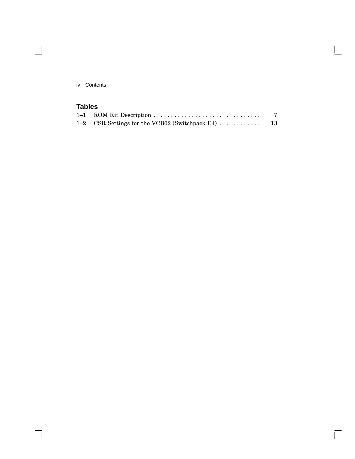iv Contents

 $\overline{\phantom{0}}$ 

# **Tables**

| 1-1 ROM Kit Description |  |
|-------------------------|--|
|                         |  |

 $\overline{\Gamma}$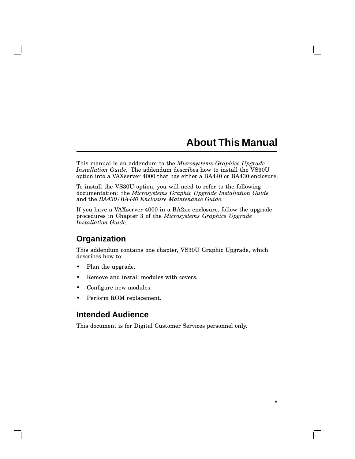# **About This Manual**

v

This manual is an addendum to the *Microsystems Graphics Upgrade Installation Guide*. The addendum describes how to install the VS30U option into a VAXserver 4000 that has either a BA440 or BA430 enclosure.

To install the VS30U option, you will need to refer to the following documentation: the *Microsystems Graphic Upgrade Installation Guide* and the *BA430/BA440 Enclosure Maintenance Guide*.

If you have a VAXserver 4000 in a BA2xx enclosure, follow the upgrade procedures in Chapter 3 of the *Microsystems Graphics Upgrade Installation Guide*.

### **Organization**

This addendum contains one chapter, VS30U Graphic Upgrade, which describes how to:

- Plan the upgrade.
- Remove and install modules with covers.
- Configure new modules.
- Perform ROM replacement.

### **Intended Audience**

This document is for Digital Customer Services personnel only.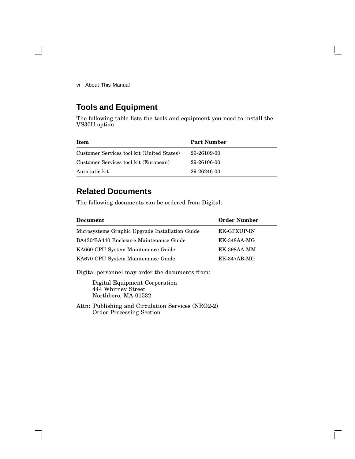vi About This Manual

## **Tools and Equipment**

The following table lists the tools and equipment you need to install the VS30U option:

| Item                                       | <b>Part Number</b> |
|--------------------------------------------|--------------------|
| Customer Services tool kit (United States) | 29-26109-00        |
| Customer Services tool kit (European)      | 29-26106-00        |
| Antistatic kit                             | 29-26246-00        |

## **Related Documents**

The following documents can be ordered from Digital:

| <b>Document</b>                                 | <b>Order Number</b> |
|-------------------------------------------------|---------------------|
| Microsystems Graphic Upgrade Installation Guide | <b>EK-GPXUP-IN</b>  |
| BA430/BA440 Enclosure Maintenance Guide         | $EK-348AA-MG$       |
| KA660 CPU System Maintenance Guide              | EK-398AA-MM         |
| KA670 CPU System Maintenance Guide              | $EK-347AB-MG$       |

Digital personnel may order the documents from:

Digital Equipment Corporation 444 Whitney Street Northboro, MA 01532

Attn: Publishing and Circulation Services (NRO2-2) Order Processing Section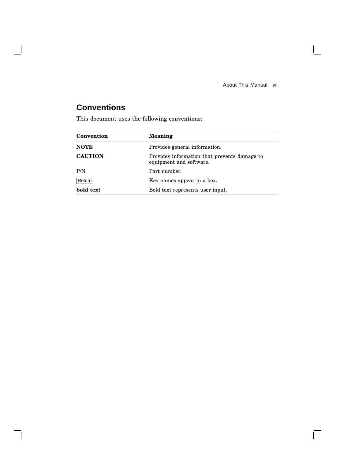About This Manual vii

 $\mathbf{L}$ 

 $\Gamma$ 

# **Conventions**

 $\overline{\phantom{a}}$ 

H

This document uses the following conventions:

| Convention     | <b>Meaning</b>                                                          |
|----------------|-------------------------------------------------------------------------|
| <b>NOTE</b>    | Provides general information.                                           |
| <b>CAUTION</b> | Provides information that prevents damage to<br>equipment and software. |
| P/N            | Part number.                                                            |
| Return         | Key names appear in a box.                                              |
| bold text      | Bold text represents user input.                                        |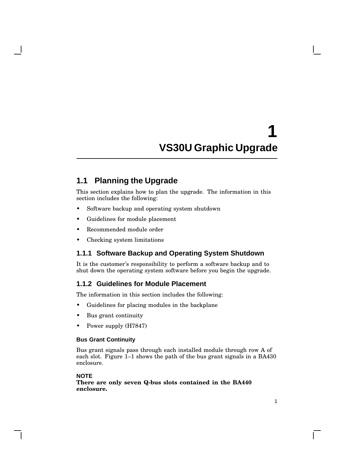### **1.1 Planning the Upgrade**

This section explains how to plan the upgrade. The information in this section includes the following:

- Software backup and operating system shutdown
- Guidelines for module placement
- Recommended module order
- Checking system limitations

### **1.1.1 Software Backup and Operating System Shutdown**

It is the customer's responsibility to perform a software backup and to shut down the operating system software before you begin the upgrade.

### **1.1.2 Guidelines for Module Placement**

The information in this section includes the following:

- Guidelines for placing modules in the backplane
- Bus grant continuity
- Power supply (H7847)

#### **Bus Grant Continuity**

Bus grant signals pass through each installed module through row A of each slot. Figure 1–1 shows the path of the bus grant signals in a BA430 enclosure.

### **NOTE**

**There are only seven Q-bus slots contained in the BA440 enclosure.**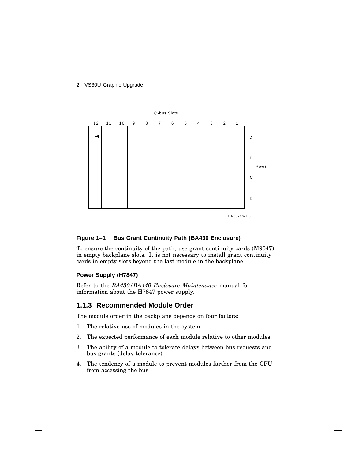

#### **Figure 1–1 Bus Grant Continuity Path (BA430 Enclosure)**

To ensure the continuity of the path, use grant continuity cards (M9047) in empty backplane slots. It is not necessary to install grant continuity cards in empty slots beyond the last module in the backplane.

### **Power Supply (H7847)**

Refer to the *BA430/BA440 Enclosure Maintenance* manual for information about the H7847 power supply.

### **1.1.3 Recommended Module Order**

The module order in the backplane depends on four factors:

- 1. The relative use of modules in the system
- 2. The expected performance of each module relative to other modules
- 3. The ability of a module to tolerate delays between bus requests and bus grants (delay tolerance)
- 4. The tendency of a module to prevent modules farther from the CPU from accessing the bus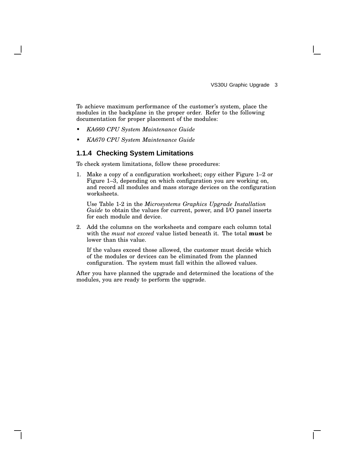To achieve maximum performance of the customer's system, place the modules in the backplane in the proper order. Refer to the following documentation for proper placement of the modules:

- *KA660 CPU System Maintenance Guide*
- *KA670 CPU System Maintenance Guide*

### **1.1.4 Checking System Limitations**

To check system limitations, follow these procedures:

1. Make a copy of a configuration worksheet; copy either Figure 1–2 or Figure 1–3, depending on which configuration you are working on, and record all modules and mass storage devices on the configuration worksheets.

Use Table 1-2 in the *Microsystems Graphics Upgrade Installation Guide* to obtain the values for current, power, and I/O panel inserts for each module and device.

2. Add the columns on the worksheets and compare each column total with the *must not exceed* value listed beneath it. The total **must** be lower than this value.

If the values exceed those allowed, the customer must decide which of the modules or devices can be eliminated from the planned configuration. The system must fall within the allowed values.

After you have planned the upgrade and determined the locations of the modules, you are ready to perform the upgrade.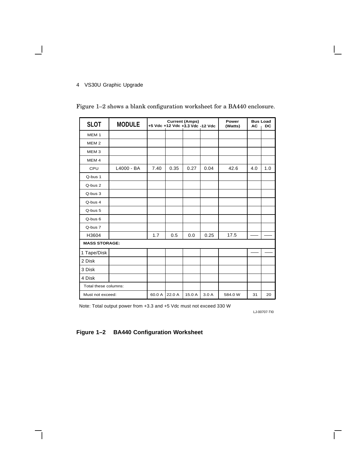$\blacksquare$ 

| <b>SLOT</b>          | <b>MODULE</b> | <b>Current (Amps)</b><br>+5 Vdc +12 Vdc +3.3 Vdc -12 Vdc |        |        | Power<br>(Watts) | <b>Bus Load</b><br><b>AC</b> | DC  |     |
|----------------------|---------------|----------------------------------------------------------|--------|--------|------------------|------------------------------|-----|-----|
| MEM <sub>1</sub>     |               |                                                          |        |        |                  |                              |     |     |
| MEM <sub>2</sub>     |               |                                                          |        |        |                  |                              |     |     |
| MEM <sub>3</sub>     |               |                                                          |        |        |                  |                              |     |     |
| MEM <sub>4</sub>     |               |                                                          |        |        |                  |                              |     |     |
| CPU                  | L4000 - BA    | 7.40                                                     | 0.35   | 0.27   | 0.04             | 42.6                         | 4.0 | 1.0 |
| Q-bus 1              |               |                                                          |        |        |                  |                              |     |     |
| Q-bus 2              |               |                                                          |        |        |                  |                              |     |     |
| Q-bus 3              |               |                                                          |        |        |                  |                              |     |     |
| Q-bus 4              |               |                                                          |        |        |                  |                              |     |     |
| Q-bus 5              |               |                                                          |        |        |                  |                              |     |     |
| Q-bus 6              |               |                                                          |        |        |                  |                              |     |     |
| Q-bus 7              |               |                                                          |        |        |                  |                              |     |     |
| H3604                |               | 1.7                                                      | 0.5    | 0.0    | 0.25             | 17.5                         |     |     |
| <b>MASS STORAGE:</b> |               |                                                          |        |        |                  |                              |     |     |
| 1 Tape/Disk          |               |                                                          |        |        |                  |                              |     |     |
| 2 Disk               |               |                                                          |        |        |                  |                              |     |     |
| 3 Disk               |               |                                                          |        |        |                  |                              |     |     |
| 4 Disk               |               |                                                          |        |        |                  |                              |     |     |
| Total these columns: |               |                                                          |        |        |                  |                              |     |     |
| Must not exceed:     |               | 60.0 A                                                   | 22.0 A | 15.0 A | 3.0A             | 584.0 W                      | 31  | 20  |

Figure 1–2 shows a blank configuration worksheet for a BA440 enclosure.

Note: Total output power from +3.3 and +5 Vdc must not exceed 330 W

LJ-00707-TI0

Г

### **Figure 1–2 BA440 Configuration Worksheet**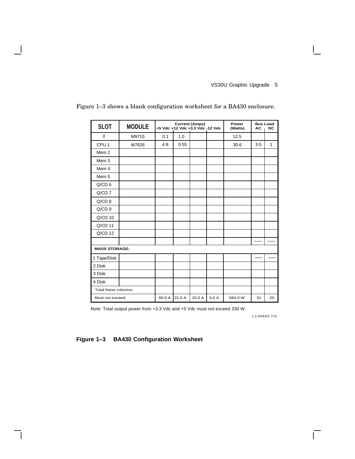| <b>SLOT</b>          | <b>MODULE</b> |        | +5 Vdc +12 Vdc +3.3 Vdc -12 Vdc | <b>Current (Amps)</b> |      | Power<br>(Watts) | <b>Bus Load</b><br><b>AC</b> | DC |
|----------------------|---------------|--------|---------------------------------|-----------------------|------|------------------|------------------------------|----|
| $\mathbf 0$          | M9715         | 0.1    | 1.0                             |                       |      | 12.5             |                              |    |
| CPU <sub>1</sub>     | M7626         | 4.8    | 0.55                            |                       |      | 30.6             | 3.5                          | 1  |
| Mem <sub>2</sub>     |               |        |                                 |                       |      |                  |                              |    |
| Mem <sub>3</sub>     |               |        |                                 |                       |      |                  |                              |    |
| Mem 4                |               |        |                                 |                       |      |                  |                              |    |
| Mem 5                |               |        |                                 |                       |      |                  |                              |    |
| $Q/CD$ 6             |               |        |                                 |                       |      |                  |                              |    |
| $Q/CD$ 7             |               |        |                                 |                       |      |                  |                              |    |
| $Q/CD$ 8             |               |        |                                 |                       |      |                  |                              |    |
| $Q/CD$ 9             |               |        |                                 |                       |      |                  |                              |    |
| $Q/CD$ 10            |               |        |                                 |                       |      |                  |                              |    |
| Q/CD 11              |               |        |                                 |                       |      |                  |                              |    |
| $Q/CD$ 12            |               |        |                                 |                       |      |                  |                              |    |
|                      |               |        |                                 |                       |      |                  |                              |    |
| <b>MASS STORAGE:</b> |               |        |                                 |                       |      |                  |                              |    |
| 1 Tape/Disk          |               |        |                                 |                       |      |                  |                              |    |
| 2 Disk               |               |        |                                 |                       |      |                  |                              |    |
| 3 Disk               |               |        |                                 |                       |      |                  |                              |    |
| 4 Disk               |               |        |                                 |                       |      |                  |                              |    |
| Total these columns: |               |        |                                 |                       |      |                  |                              |    |
| Must not exceed:     |               | 60.0 A | 22.0 A                          | 15.0 A                | 3.0A | 584.0 W          | 31                           | 20 |

Figure 1–3 shows a blank configuration worksheet for a BA430 enclosure.

Note: Total output power from +3.3 Vdc and +5 Vdc must not exceed 330 W

LJ-00693-TI0

 $\Gamma$ 

**Figure 1–3 BA430 Configuration Worksheet**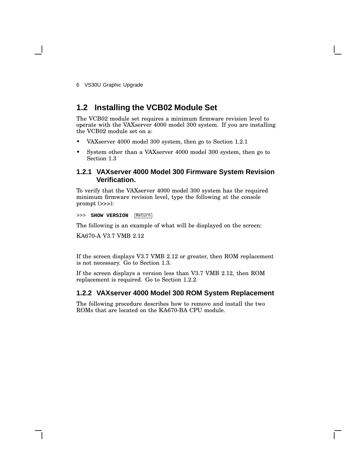### **1.2 Installing the VCB02 Module Set**

The VCB02 module set requires a minimum firmware revision level to operate with the VAXserver 4000 model 300 system. If you are installing the VCB02 module set on a:

- VAXserver 4000 model 300 system, then go to Section 1.2.1
- System other than a VAXserver 4000 model 300 system, then go to Section 1.3

### **1.2.1 VAXserver 4000 Model 300 Firmware System Revision Verification.**

To verify that the VAXserver 4000 model 300 system has the required minimum firmware revision level, type the following at the console prompt (>>>):

>>> **SHOW VERSION** Return

The following is an example of what will be displayed on the screen:

KA670-A V3.7 VMB 2.12

If the screen displays V3.7 VMB 2.12 or greater, then ROM replacement is not necessary. Go to Section 1.3.

If the screen displays a version less than V3.7 VMB 2.12, then ROM replacement is required. Go to Section 1.2.2.

### **1.2.2 VAXserver 4000 Model 300 ROM System Replacement**

The following procedure describes how to remove and install the two ROMs that are located on the KA670-BA CPU module.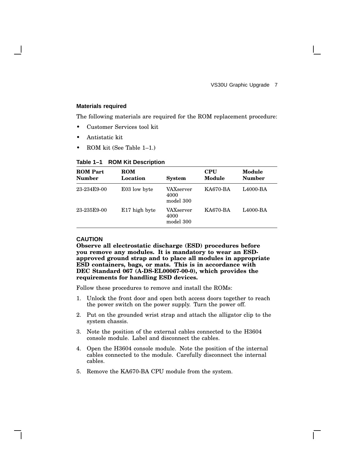#### **Materials required**

The following materials are required for the ROM replacement procedure:

- Customer Services tool kit
- Antistatic kit
- ROM kit (See Table 1–1.)

#### **Table 1–1 ROM Kit Description**

| <b>ROM Part</b><br><b>Number</b> | <b>ROM</b><br>Location | <b>System</b>                  | <b>CPU</b><br>Module | Module<br><b>Number</b> |
|----------------------------------|------------------------|--------------------------------|----------------------|-------------------------|
| 23-234E9-00                      | E03 low byte           | VAXserver<br>4000<br>model 300 | KA670-BA             | L4000-BA                |
| 23-235E9-00                      | E17 high byte          | VAXserver<br>4000<br>model 300 | KA670-BA             | L4000-BA                |

### **CAUTION**

**Observe all electrostatic discharge (ESD) procedures before you remove any modules. It is mandatory to wear an ESDapproved ground strap and to place all modules in appropriate ESD containers, bags, or mats. This is in accordance with DEC Standard 067 (A-DS-EL00067-00-0), which provides the requirements for handling ESD devices.**

Follow these procedures to remove and install the ROMs:

- 1. Unlock the front door and open both access doors together to reach the power switch on the power supply. Turn the power off.
- 2. Put on the grounded wrist strap and attach the alligator clip to the system chassis.
- 3. Note the position of the external cables connected to the H3604 console module. Label and disconnect the cables.
- 4. Open the H3604 console module. Note the position of the internal cables connected to the module. Carefully disconnect the internal cables.
- 5. Remove the KA670-BA CPU module from the system.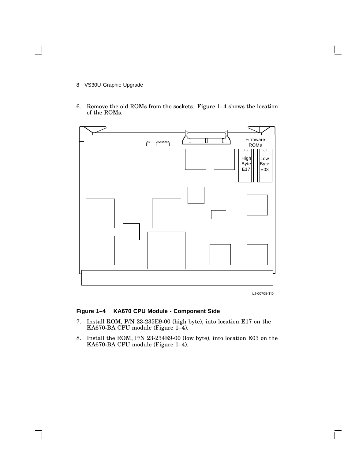- 8 VS30U Graphic Upgrade
- 6. Remove the old ROMs from the sockets. Figure 1–4 shows the location of the ROMs.



LJ-00708-TI0

### **Figure 1–4 KA670 CPU Module - Component Side**

- 7. Install ROM, P/N 23-235E9-00 (high byte), into location E17 on the KA670-BA CPU module (Figure 1–4).
- 8. Install the ROM, P/N 23-234E9-00 (low byte), into location E03 on the KA670-BA CPU module (Figure 1–4).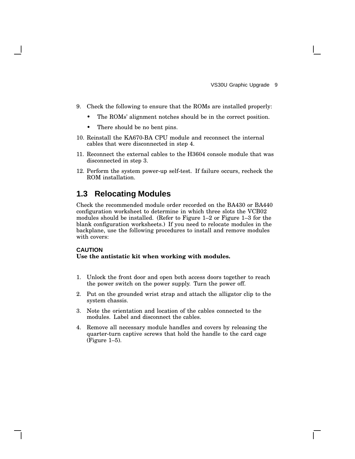- 9. Check the following to ensure that the ROMs are installed properly:
	- The ROMs' alignment notches should be in the correct position.
	- There should be no bent pins.
- 10. Reinstall the KA670-BA CPU module and reconnect the internal cables that were disconnected in step 4.
- 11. Reconnect the external cables to the H3604 console module that was disconnected in step 3.
- 12. Perform the system power-up self-test. If failure occurs, recheck the ROM installation.

### **1.3 Relocating Modules**

Check the recommended module order recorded on the BA430 or BA440 configuration worksheet to determine in which three slots the VCB02 modules should be installed. (Refer to Figure 1–2 or Figure 1–3 for the blank configuration worksheets.) If you need to relocate modules in the backplane, use the following procedures to install and remove modules with covers:

#### **CAUTION**

#### **Use the antistatic kit when working with modules.**

- 1. Unlock the front door and open both access doors together to reach the power switch on the power supply. Turn the power off.
- 2. Put on the grounded wrist strap and attach the alligator clip to the system chassis.
- 3. Note the orientation and location of the cables connected to the modules. Label and disconnect the cables.
- 4. Remove all necessary module handles and covers by releasing the quarter-turn captive screws that hold the handle to the card cage (Figure 1–5).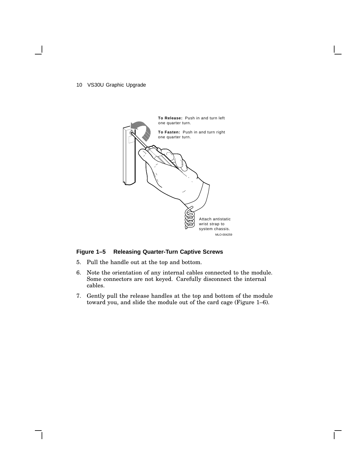

### **Figure 1–5 Releasing Quarter-Turn Captive Screws**

- 5. Pull the handle out at the top and bottom.
- 6. Note the orientation of any internal cables connected to the module. Some connectors are not keyed. Carefully disconnect the internal cables.
- 7. Gently pull the release handles at the top and bottom of the module toward you, and slide the module out of the card cage (Figure 1–6).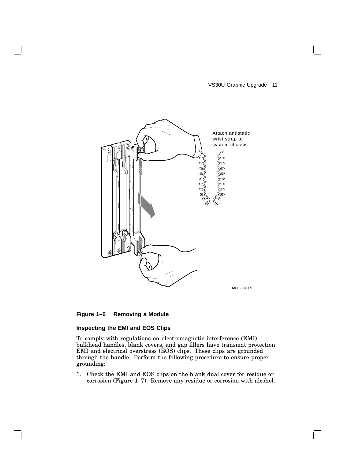VS30U Graphic Upgrade 11

 $\mathbf{I}$ 



### **Figure 1–6 Removing a Module**

### **Inspecting the EMI and EOS Clips**

To comply with regulations on electromagnetic interference (EMI), bulkhead handles, blank covers, and gap fillers have transient protection EMI and electrical overstress (EOS) clips. These clips are grounded through the handle. Perform the following procedure to ensure proper grounding:

1. Check the EMI and EOS clips on the blank dual cover for residue or corrosion (Figure 1–7). Remove any residue or corrosion with alcohol.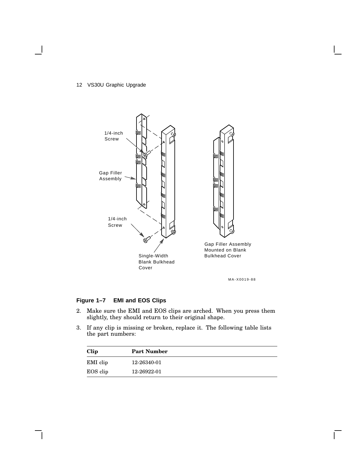

### **Figure 1–7 EMI and EOS Clips**

- 2. Make sure the EMI and EOS clips are arched. When you press them slightly, they should return to their original shape.
- 3. If any clip is missing or broken, replace it. The following table lists the part numbers:

| Clip     | <b>Part Number</b> |
|----------|--------------------|
| EMI clip | 12-26340-01        |
| EOS clip | 12-26922-01        |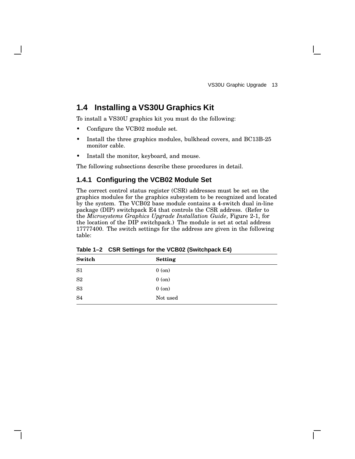### **1.4 Installing a VS30U Graphics Kit**

To install a VS30U graphics kit you must do the following:

- Configure the VCB02 module set.
- Install the three graphics modules, bulkhead covers, and BC13B-25 monitor cable.
- Install the monitor, keyboard, and mouse.

The following subsections describe these procedures in detail.

### **1.4.1 Configuring the VCB02 Module Set**

The correct control status register (CSR) addresses must be set on the graphics modules for the graphics subsystem to be recognized and located by the system. The VCB02 base module contains a 4-switch dual in-line package (DIP) switchpack E4 that controls the CSR address. (Refer to the *Microsystems Graphics Upgrade Installation Guide*, Figure 2-1, for the location of the DIP switchpack.) The module is set at octal address 17777400. The switch settings for the address are given in the following table:

| Switch         | <b>Setting</b> |
|----------------|----------------|
| S <sub>1</sub> | $0$ (on)       |
| S <sub>2</sub> | $0$ (on)       |
| S <sub>3</sub> | $0$ (on)       |
| S <sub>4</sub> | Not used       |

**Table 1–2 CSR Settings for the VCB02 (Switchpack E4)**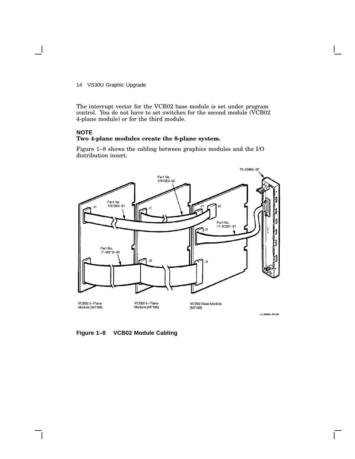The interrupt vector for the VCB02 base module is set under program control. You do not have to set switches for the second module (VCB02 4-plane module) or for the third module.

### **NOTE Two 4-plane modules create the 8-plane system.**

Figure 1–8 shows the cabling between graphics modules and the I/O distribution insert.



**Figure 1–8 VCB02 Module Cabling**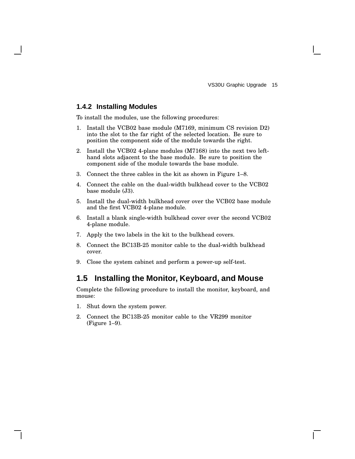### **1.4.2 Installing Modules**

To install the modules, use the following procedures:

- 1. Install the VCB02 base module (M7169, minimum CS revision D2) into the slot to the far right of the selected location. Be sure to position the component side of the module towards the right.
- 2. Install the VCB02 4-plane modules (M7168) into the next two lefthand slots adjacent to the base module. Be sure to position the component side of the module towards the base module.
- 3. Connect the three cables in the kit as shown in Figure 1–8.
- 4. Connect the cable on the dual-width bulkhead cover to the VCB02 base module (J3).
- 5. Install the dual-width bulkhead cover over the VCB02 base module and the first VCB02 4-plane module.
- 6. Install a blank single-width bulkhead cover over the second VCB02 4-plane module.
- 7. Apply the two labels in the kit to the bulkhead covers.
- 8. Connect the BC13B-25 monitor cable to the dual-width bulkhead cover.
- 9. Close the system cabinet and perform a power-up self-test.

### **1.5 Installing the Monitor, Keyboard, and Mouse**

Complete the following procedure to install the monitor, keyboard, and mouse:

- 1. Shut down the system power.
- 2. Connect the BC13B-25 monitor cable to the VR299 monitor (Figure 1–9).